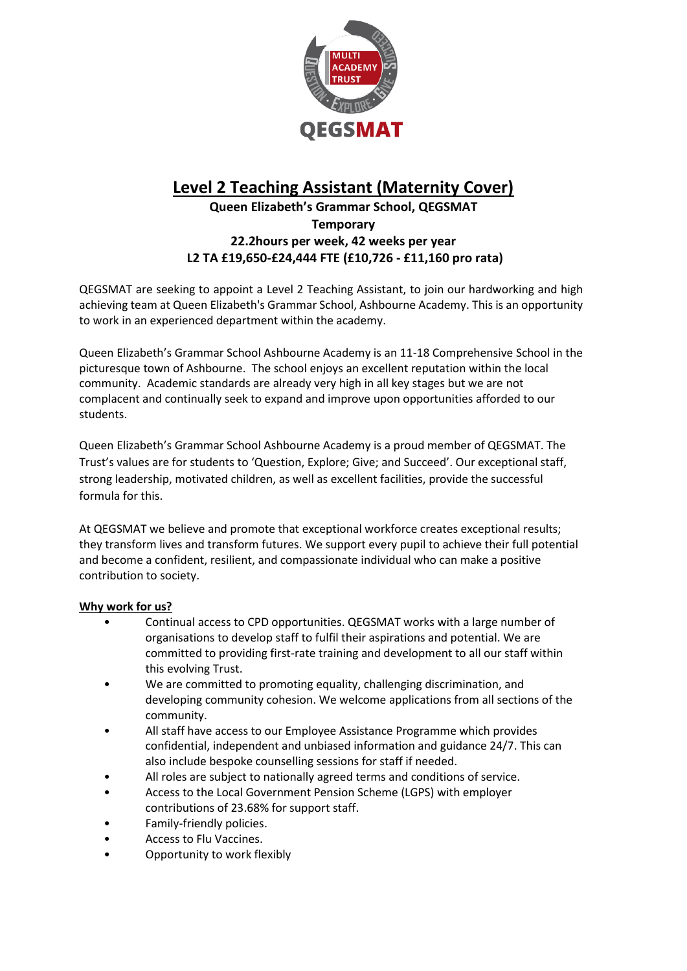

# **Level 2 Teaching Assistant (Maternity Cover)**

## **Queen Elizabeth's Grammar School, QEGSMAT Temporary 22.2hours per week, 42 weeks per year L2 TA £19,650-£24,444 FTE (£10,726 - £11,160 pro rata)**

QEGSMAT are seeking to appoint a Level 2 Teaching Assistant, to join our hardworking and high achieving team at Queen Elizabeth's Grammar School, Ashbourne Academy. This is an opportunity to work in an experienced department within the academy.

Queen Elizabeth's Grammar School Ashbourne Academy is an 11-18 Comprehensive School in the picturesque town of Ashbourne. The school enjoys an excellent reputation within the local community. Academic standards are already very high in all key stages but we are not complacent and continually seek to expand and improve upon opportunities afforded to our students.

Queen Elizabeth's Grammar School Ashbourne Academy is a proud member of QEGSMAT. The Trust's values are for students to 'Question, Explore; Give; and Succeed'. Our exceptional staff, strong leadership, motivated children, as well as excellent facilities, provide the successful formula for this.

At QEGSMAT we believe and promote that exceptional workforce creates exceptional results; they transform lives and transform futures. We support every pupil to achieve their full potential and become a confident, resilient, and compassionate individual who can make a positive contribution to society.

### **Why work for us?**

- Continual access to CPD opportunities. QEGSMAT works with a large number of organisations to develop staff to fulfil their aspirations and potential. We are committed to providing first-rate training and development to all our staff within this evolving Trust.
- We are committed to promoting equality, challenging discrimination, and developing community cohesion. We welcome applications from all sections of the community.
- All staff have access to our Employee Assistance Programme which provides confidential, independent and unbiased information and guidance 24/7. This can also include bespoke counselling sessions for staff if needed.
- All roles are subject to nationally agreed terms and conditions of service.
- Access to the Local Government Pension Scheme (LGPS) with employer contributions of 23.68% for support staff.
- Family-friendly policies.
- Access to Flu Vaccines.
- Opportunity to work flexibly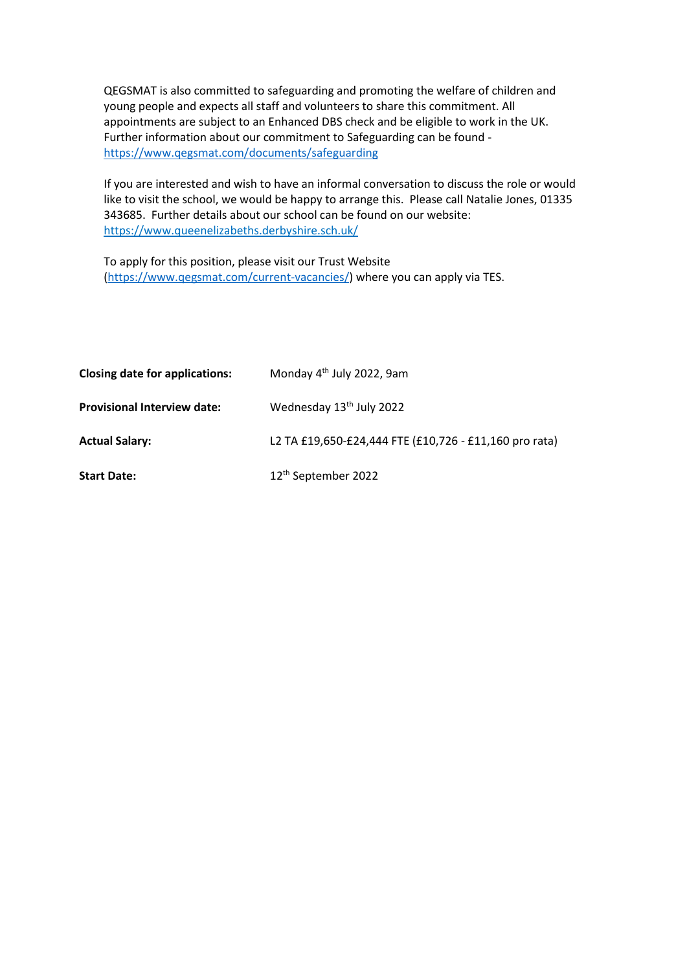QEGSMAT is also committed to safeguarding and promoting the welfare of children and young people and expects all staff and volunteers to share this commitment. All appointments are subject to an Enhanced DBS check and be eligible to work in the UK. Further information about our commitment to Safeguarding can be found <https://www.qegsmat.com/documents/safeguarding>

If you are interested and wish to have an informal conversation to discuss the role or would like to visit the school, we would be happy to arrange this. Please call Natalie Jones, 01335 343685. Further details about our school can be found on our website: <https://www.queenelizabeths.derbyshire.sch.uk/>

To apply for this position, please visit our Trust Website [\(https://www.qegsmat.com/current-vacancies/\)](https://www.qegsmat.com/current-vacancies/) where you can apply via TES.

| <b>Closing date for applications:</b> | Monday 4 <sup>th</sup> July 2022, 9am                  |
|---------------------------------------|--------------------------------------------------------|
| <b>Provisional Interview date:</b>    | Wednesday 13 <sup>th</sup> July 2022                   |
| <b>Actual Salary:</b>                 | L2 TA £19,650-£24,444 FTE (£10,726 - £11,160 pro rata) |
| <b>Start Date:</b>                    | 12 <sup>th</sup> September 2022                        |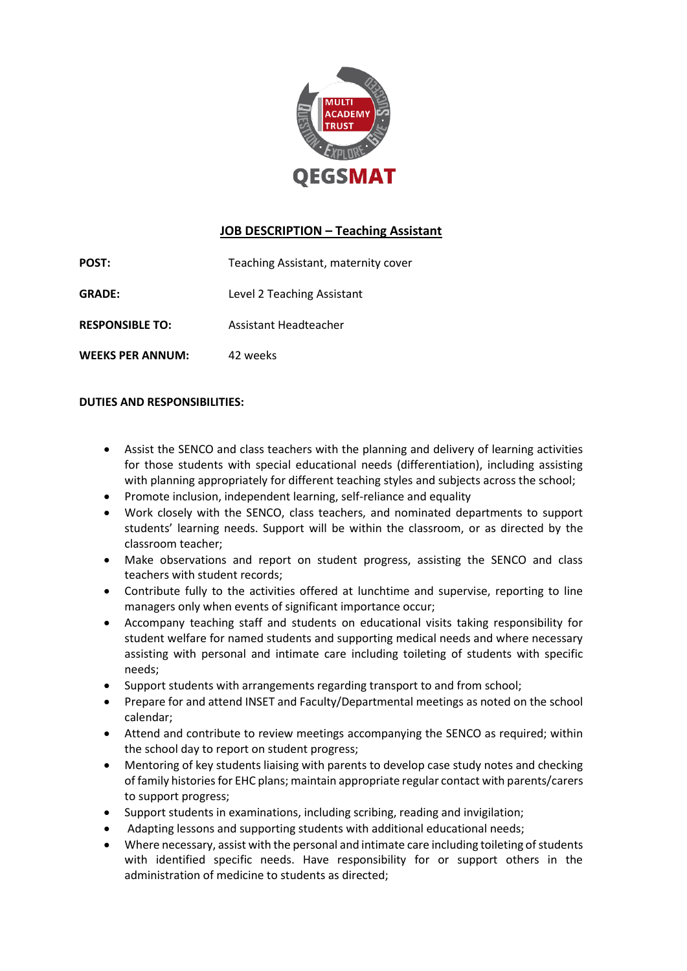

## **JOB DESCRIPTION – Teaching Assistant**

**POST:** Teaching Assistant, maternity cover **GRADE:** Level 2 Teaching Assistant **RESPONSIBLE TO:** Assistant Headteacher

**WEEKS PER ANNUM:** 42 weeks

**DUTIES AND RESPONSIBILITIES:**

- Assist the SENCO and class teachers with the planning and delivery of learning activities for those students with special educational needs (differentiation), including assisting with planning appropriately for different teaching styles and subjects across the school;
- Promote inclusion, independent learning, self-reliance and equality
- Work closely with the SENCO, class teachers, and nominated departments to support students' learning needs. Support will be within the classroom, or as directed by the classroom teacher;
- Make observations and report on student progress, assisting the SENCO and class teachers with student records;
- Contribute fully to the activities offered at lunchtime and supervise, reporting to line managers only when events of significant importance occur;
- Accompany teaching staff and students on educational visits taking responsibility for student welfare for named students and supporting medical needs and where necessary assisting with personal and intimate care including toileting of students with specific needs;
- Support students with arrangements regarding transport to and from school;
- Prepare for and attend INSET and Faculty/Departmental meetings as noted on the school calendar;
- Attend and contribute to review meetings accompanying the SENCO as required; within the school day to report on student progress;
- Mentoring of key students liaising with parents to develop case study notes and checking of family histories for EHC plans; maintain appropriate regular contact with parents/carers to support progress;
- Support students in examinations, including scribing, reading and invigilation;
- Adapting lessons and supporting students with additional educational needs;
- Where necessary, assist with the personal and intimate care including toileting of students with identified specific needs. Have responsibility for or support others in the administration of medicine to students as directed;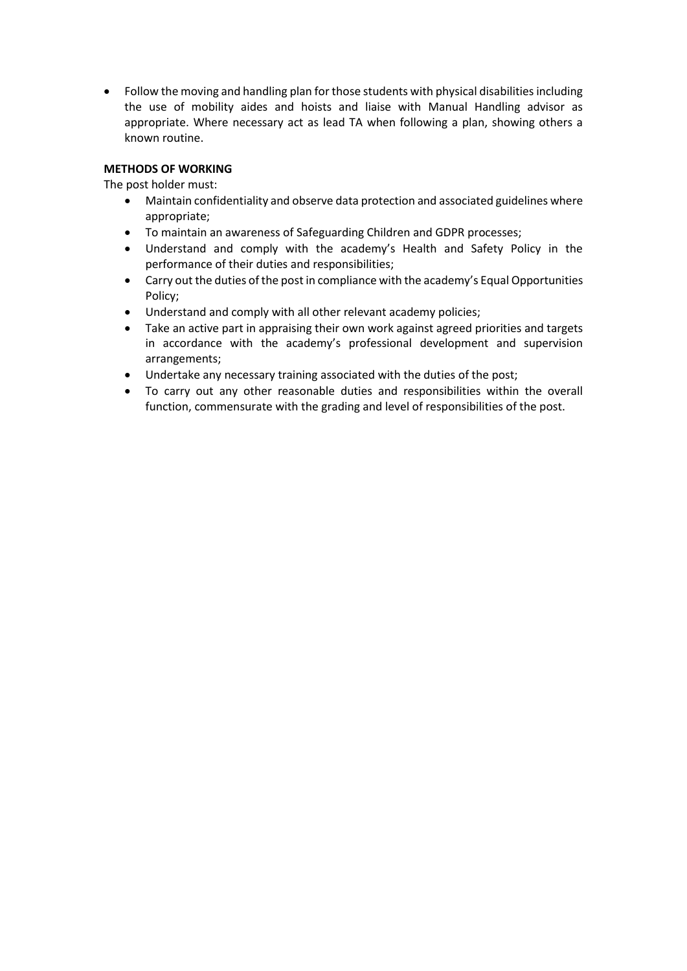• Follow the moving and handling plan for those students with physical disabilities including the use of mobility aides and hoists and liaise with Manual Handling advisor as appropriate. Where necessary act as lead TA when following a plan, showing others a known routine.

### **METHODS OF WORKING**

The post holder must:

- Maintain confidentiality and observe data protection and associated guidelines where appropriate;
- To maintain an awareness of Safeguarding Children and GDPR processes;
- Understand and comply with the academy's Health and Safety Policy in the performance of their duties and responsibilities;
- Carry out the duties of the post in compliance with the academy's Equal Opportunities Policy;
- Understand and comply with all other relevant academy policies;
- Take an active part in appraising their own work against agreed priorities and targets in accordance with the academy's professional development and supervision arrangements;
- Undertake any necessary training associated with the duties of the post;
- To carry out any other reasonable duties and responsibilities within the overall function, commensurate with the grading and level of responsibilities of the post.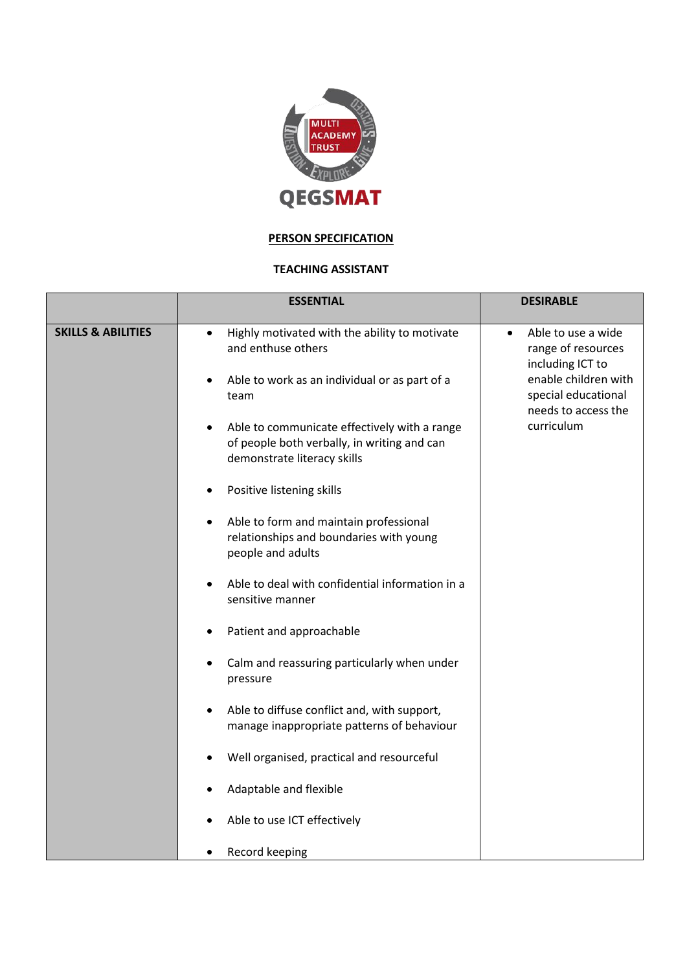

## **PERSON SPECIFICATION**

#### **TEACHING ASSISTANT**

|                               | <b>ESSENTIAL</b>                                                                                                           | <b>DESIRABLE</b>                                                          |
|-------------------------------|----------------------------------------------------------------------------------------------------------------------------|---------------------------------------------------------------------------|
| <b>SKILLS &amp; ABILITIES</b> | Highly motivated with the ability to motivate<br>and enthuse others                                                        | Able to use a wide<br>$\bullet$<br>range of resources<br>including ICT to |
|                               | Able to work as an individual or as part of a<br>team                                                                      | enable children with<br>special educational<br>needs to access the        |
|                               | Able to communicate effectively with a range<br>of people both verbally, in writing and can<br>demonstrate literacy skills | curriculum                                                                |
|                               | Positive listening skills                                                                                                  |                                                                           |
|                               | Able to form and maintain professional<br>٠<br>relationships and boundaries with young<br>people and adults                |                                                                           |
|                               | Able to deal with confidential information in a<br>$\bullet$<br>sensitive manner                                           |                                                                           |
|                               | Patient and approachable<br>$\bullet$                                                                                      |                                                                           |
|                               | Calm and reassuring particularly when under<br>pressure                                                                    |                                                                           |
|                               | Able to diffuse conflict and, with support,<br>manage inappropriate patterns of behaviour                                  |                                                                           |
|                               | Well organised, practical and resourceful                                                                                  |                                                                           |
|                               | Adaptable and flexible                                                                                                     |                                                                           |
|                               | Able to use ICT effectively                                                                                                |                                                                           |
|                               | Record keeping                                                                                                             |                                                                           |